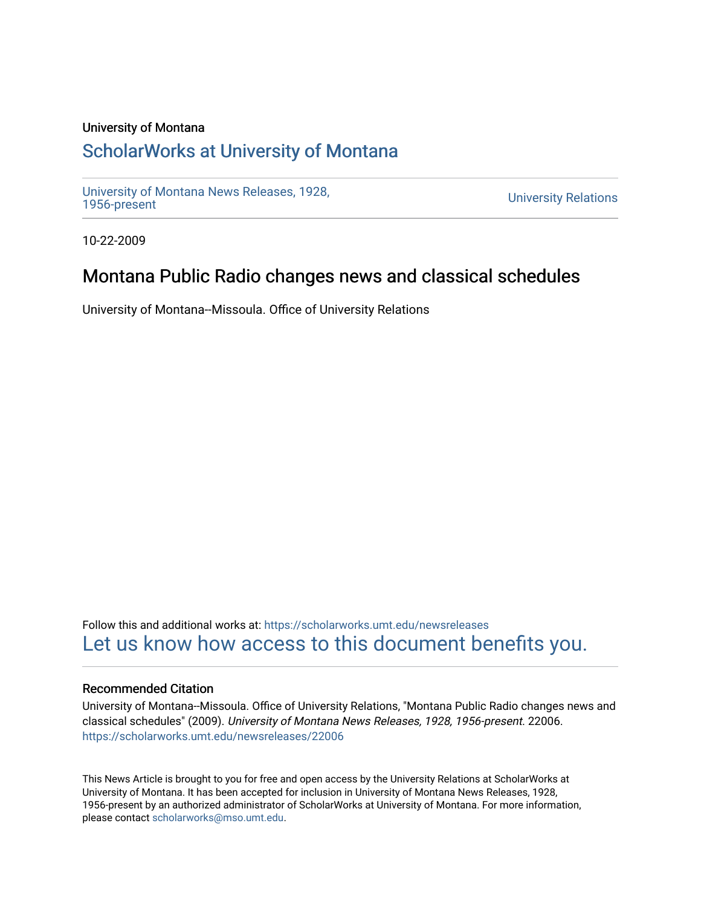### University of Montana

# [ScholarWorks at University of Montana](https://scholarworks.umt.edu/)

[University of Montana News Releases, 1928,](https://scholarworks.umt.edu/newsreleases) 

**University Relations** 

10-22-2009

# Montana Public Radio changes news and classical schedules

University of Montana--Missoula. Office of University Relations

Follow this and additional works at: [https://scholarworks.umt.edu/newsreleases](https://scholarworks.umt.edu/newsreleases?utm_source=scholarworks.umt.edu%2Fnewsreleases%2F22006&utm_medium=PDF&utm_campaign=PDFCoverPages) [Let us know how access to this document benefits you.](https://goo.gl/forms/s2rGfXOLzz71qgsB2) 

### Recommended Citation

University of Montana--Missoula. Office of University Relations, "Montana Public Radio changes news and classical schedules" (2009). University of Montana News Releases, 1928, 1956-present. 22006. [https://scholarworks.umt.edu/newsreleases/22006](https://scholarworks.umt.edu/newsreleases/22006?utm_source=scholarworks.umt.edu%2Fnewsreleases%2F22006&utm_medium=PDF&utm_campaign=PDFCoverPages) 

This News Article is brought to you for free and open access by the University Relations at ScholarWorks at University of Montana. It has been accepted for inclusion in University of Montana News Releases, 1928, 1956-present by an authorized administrator of ScholarWorks at University of Montana. For more information, please contact [scholarworks@mso.umt.edu.](mailto:scholarworks@mso.umt.edu)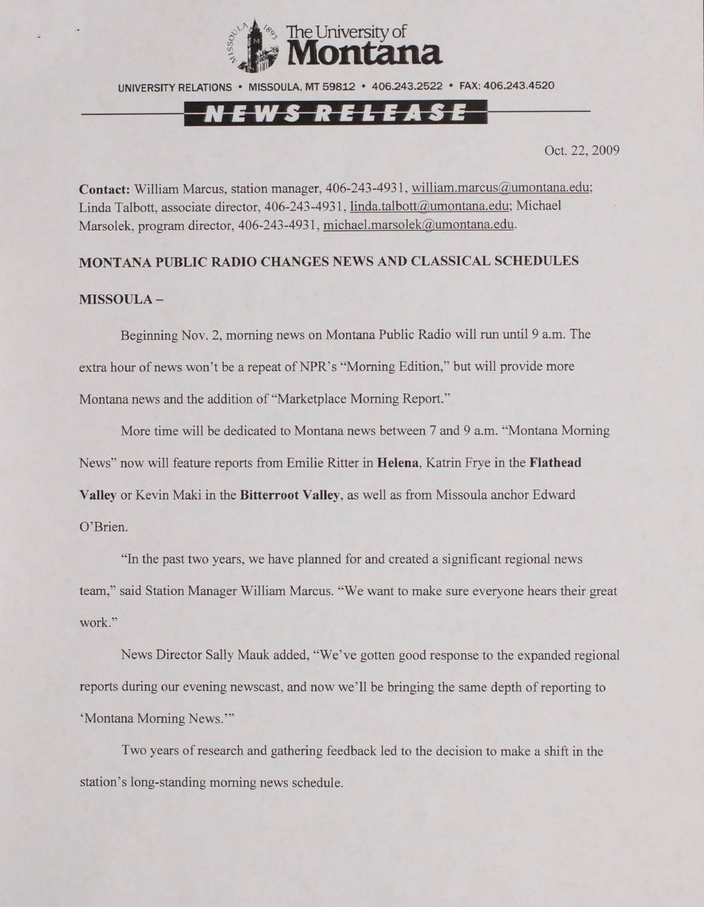

UNIVERSITY RELATIONS • MISSOULA. MT 59812 • 406.243.2522 • FAX: 406.243.4520

## NEWS RELEASE

Oct. 22, 2009

Contact: William Marcus, station manager, 406-243-4931, [william.marcus@umontana.edu;](mailto:william.marcus@umontana.edu) Linda Talbott, associate director, 406-243-4931, [linda.talbott@umontana.edu](mailto:linda.talbott@umontana.edu); Michael Marsolek. program director, 406-243-4931. [michael.marsolek@umontana.edu](mailto:michael.marsolek@umontana.edu).

#### **MONTANA PUBLIC RADIO CHANGES NEWS AND CLASSICAL SCHEDULES**

#### **MISSOULA-**

Beginning Nov. 2, morning news on Montana Public Radio will run until 9 a.m. The extra hour of news won't be a repeat of NPR's "Morning Edition," but will provide more Montana news and the addition of "Marketplace Morning Report."

More time will be dedicated to Montana news between 7 and 9 a.m. "Montana Morning News" now will feature reports from Emilie Ritter in **Helena.** Katrin Frye in the **Flathead Valley** or Kevin Maki in the **Bitterroot Valley,** as well as from Missoula anchor Edward O'Brien.

"In the past two years, we have planned for and created a significant regional news team," said Station Manager William Marcus. "We want to make sure everyone hears their great work."

News Director Sally Mauk added, "We've gotten good response to the expanded regional reports during our evening newscast, and now we'll be bringing the same depth of reporting to 'Montana Morning News.'"

Two years of research and gathering feedback led to the decision to make a shift in the station's long-standing morning news schedule.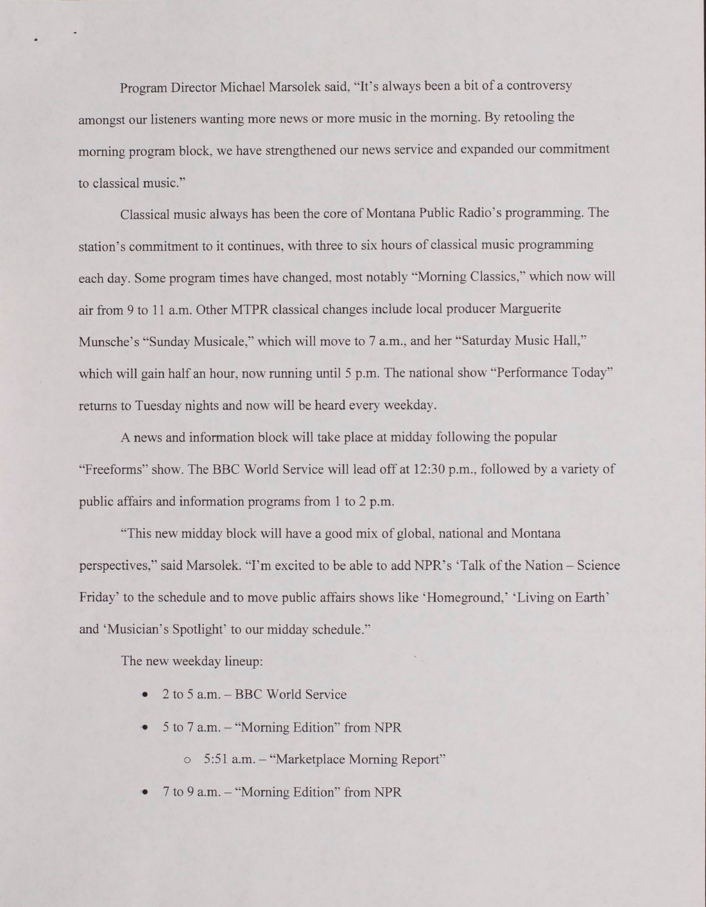Program Director Michael Marsolek said, "It's always been a bit of a controversy amongst our listeners wanting more news or more music in the morning. By retooling the morning program block, we have strengthened our news service and expanded our commitment to classical music."

Classical music always has been the core of Montana Public Radio's programming. The station's commitment to it continues, with three to six hours of classical music programming each day. Some program times have changed, most notably "Morning Classics," which now will air from 9 to 11 a.m. Other MTPR classical changes include local producer Marguerite Munsche's "Sunday Musicale," which will move to 7 a.m.. and her "Saturday Music Hall." which will gain half an hour, now running until 5 p.m. The national show "Performance Today" returns to Tuesday nights and now will be heard every weekday.

A news and information block will take place at midday following the popular "Freeforms" show. The BBC World Service will lead off at 12:30 p.m.. followed by a variety of public affairs and information programs from 1 to 2 p.m.

"This new midday block will have a good mix of global, national and Montana perspectives," said Marsolek. "I'm excited to be able to add NPR's 'Talk of the Nation - Science Friday' to the schedule and to move public affairs shows like 'Homeground.' 'Living on Earth' and 'Musician's Spotlight' to our midday schedule."

The new weekday lineup:

- 2 to 5 a.m. BBC World Service
- 5 to 7 a.m. "Morning Edition" from NPR
	- o 5:51 a.m. "Marketplace Morning Report"
- 7 to 9 a.m. "Morning Edition" from NPR